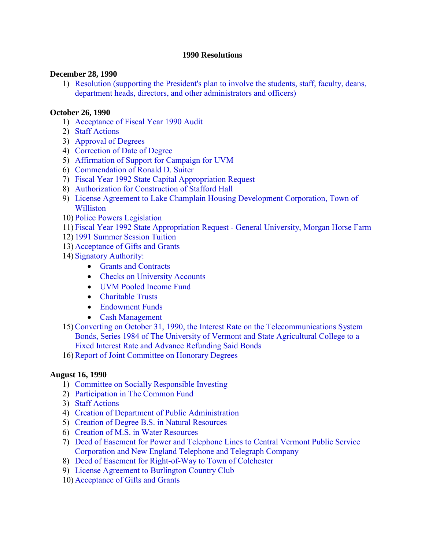#### **1990 Resolutions**

#### **December 28, 1990**

1) [Resolution \(supporting the President's plan to involve the students, staff, faculty, deans,](#page-3-0) department heads, directors, and other administrators and officers)

#### **October 26, 1990**

- 1) [Acceptance of Fiscal Year 1990 Audit](#page-5-0)
- 2) [Staff Actions](#page-5-0)
- 3) [Approval of Degrees](#page-5-0)
- 4) [Correction of Date of Degree](#page-5-0)
- 5) [Affirmation of Support for Campaign for UVM](#page-6-0)
- 6) [Commendation of Ronald D. Suiter](#page-6-0)
- 7) [Fiscal Year 1992 State Capital Appropriation Request](#page-6-0)
- 8) [Authorization for Construction of Stafford Hall](#page-7-0)
- 9) [License Agreement to Lake Champlain Housing Development Corporation, Town of](#page-7-0) Williston
- 10) [Police Powers Legislation](#page-8-0)
- 11) [Fiscal Year 1992 State Appropriation Request General University, Morgan Horse Farm](#page-8-0)
- 12) [1991 Summer Session Tuition](#page-8-0)
- 13) [Acceptance of Gifts and Grants](#page-8-0)
- 14) [Signatory Authority:](#page-8-0)
	- [Grants and Contracts](#page-8-0)
	- [Checks on University Accounts](#page-8-0)
	- [UVM Pooled Income Fund](#page-8-0)
	- [Charitable Trusts](#page-9-0)
	- [Endowment Funds](#page-9-0)
	- [Cash Management](#page-10-0)
- 15)Converting on October 31, 1990, the Interest Rate on the Telecommunications System [Bonds, Series 1984 of The University of Vermont and State Agricultural College to a](#page-10-0)  Fixed Interest Rate and Advance Refunding Said Bonds

16)[Report of Joint Committee on Honorary Degrees](#page-10-0)

#### **August 16, 1990**

- 1) [Committee on Socially Responsible Investing](#page-11-0)
- 2) [Participation in The Common Fund](#page-11-0)
- 3) [Staff Actions](#page-12-0)
- 4) [Creation of Department of Public Administration](#page-12-0)
- 5) [Creation of Degree B.S. in Natural Resources](#page-12-0)
- 6) [Creation of M.S. in Water Resources](#page-13-0)
- 7) [Deed of Easement for Power and Telephone Lines to Central Vermont Public Service](#page-13-0) Corporation and New England Telephone and Telegraph Company
- 8) [Deed of Easement for Right-of-Way to Town of Colchester](#page-13-0)
- 9) [License Agreement to Burlington Country Club](#page-14-0)
- 10) [Acceptance of Gifts and Grants](#page-14-0)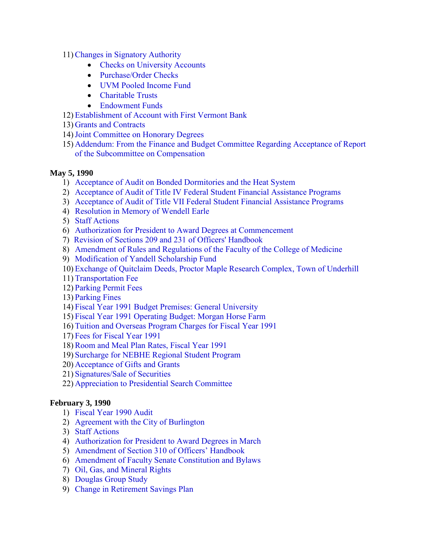- 11)[Changes in Signatory Authority](#page-15-0)
	- [Checks on University Accounts](#page-15-0)
	- Purchase/Order Checks
	- [UVM Pooled Income Fund](#page-15-0)
	- [Charitable Trusts](#page-15-0)
	- [Endowment Funds](#page-16-0)
- 12) [Establishment of Account with First Vermont Bank](#page-16-0)
- 13) [Grants and Contracts](#page-16-0)
- 14)[Joint Committee on Honorary Degrees](#page-17-0)
- 15) [Addendum: From the Finance and Budget Committee Regarding Acceptance of Report](#page-17-0) of the Subcommittee on Compensation

#### **May 5, 1990**

- 1) [Acceptance of Audit on Bonded Dormitories and the Heat System](#page-18-0)
- 2) [Acceptance of Audit of Title IV Federal Student Financial Assistance Programs](#page-18-0)
- 3) [Acceptance of Audit of Title VII Federal Student Financial Assistance Programs](#page-18-0)
- 4) [Resolution in Memory of Wendell Earle](#page-19-0)
- 5) [Staff Actions](#page-19-0)
- 6) [Authorization for President to Award Degrees at Commencement](#page-19-0)
- 7) [Revision of Sections 209 and 231 of Officers' Handbook](#page-19-0)
- 8) [Amendment of Rules and Regulations of the Faculty of the College of Medicine](#page-19-0)
- 9) [Modification of Yandell Scholarship Fund](#page-20-0)
- 10) [Exchange of Quitclaim Deeds, Proctor Maple Research Complex, Town of Underhill](#page-20-0)
- 11) [Transportation Fee](#page-20-0)
- 12) [Parking Permit Fees](#page-21-0)
- 13) [Parking Fines](#page-22-0)
- 14) [Fiscal Year 1991 Budget Premises: General University](#page-23-0)
- 15) [Fiscal Year 1991 Operating Budget: Morgan Horse Farm](#page-23-0)
- 16) [Tuition and Overseas Program Charges for Fiscal Year 1991](#page-23-0)
- 17) [Fees for Fiscal Year 1991](#page-23-0)
- 18)[Room and Meal Plan Rates, Fiscal Year 1991](#page-23-0)
- 19) [Surcharge for NEBHE Regional Student Program](#page-24-0)
- 20) [Acceptance of Gifts and Grants](#page-24-0)
- 21) [Signatures/Sale of Securities](#page-24-0)
- 22) [Appreciation to Presidential Search Committee](#page-24-0)

#### **February 3, 1990**

- 1) [Fiscal Year 1990 Audit](#page-26-0)
- 2) [Agreement with the City of Burlington](#page-26-0)
- 3) [Staff Actions](#page-26-0)
- 4) [Authorization for President to Award Degrees in March](#page-26-0)
- 5) [Amendment of Section 310 of Officers' Handbook](#page-26-0)
- 6) [Amendment of Faculty Senate Constitution and Bylaws](#page-26-0)
- 7) [Oil, Gas, and Mineral Rights](#page-27-0)
- 8) [Douglas Group Study](#page-27-0)
- 9) [Change in Retirement Savings Plan](#page-27-0)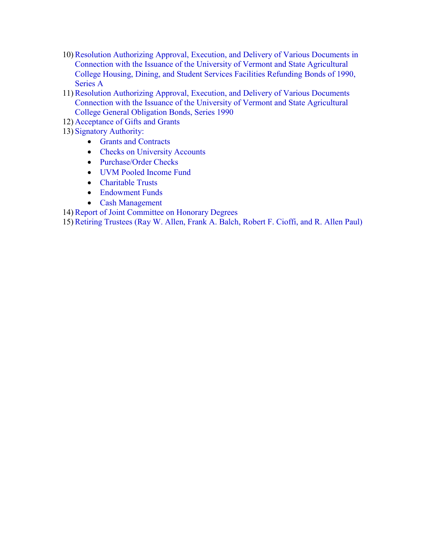- 10)[Resolution Authorizing Approval, Execution, and Delivery of Various Documents in](#page-27-0) Connection with the Issuance of the University of Vermont and State Agricultural College Housing, Dining, and Student Services Facilities Refunding Bonds of 1990, Series A
- 11)[Resolution Authorizing Approval, Execution, and Delivery of Various Documents](#page-27-0) Connection with the Issuance of the University of Vermont and State Agricultural College General Obligation Bonds, Series 1990
- 12) [Acceptance of Gifts and Grants](#page-27-0)
- 13) [Signatory Authority](#page-28-0):
	- [Grants and Contrac](#page-28-0)ts
	- [Checks on University Accounts](#page-28-0)
	- Purchase/Order Checks
	- [UVM Pooled Income Fund](#page-28-0)
	- [Charitable Trusts](#page-29-0)
	- [Endowment Funds](#page-29-0)
	- [Cash Management](#page-30-0)

14)[Report of Joint Committee on Honorary Degrees](#page-30-0) 

15)[Retiring Trustees \(Ray W. Allen, Frank A. Balch, Robert F. Cioffi, and R. Allen Paul\)](#page-30-0)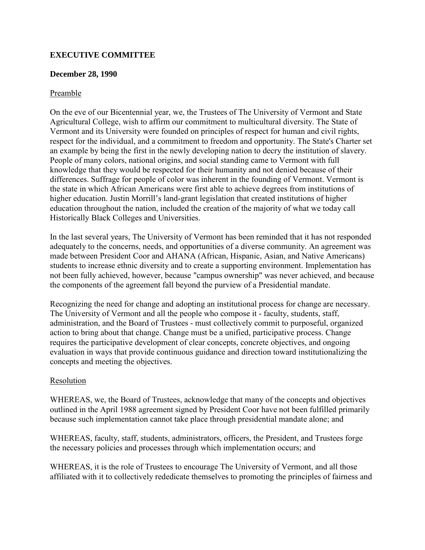# <span id="page-3-0"></span>**EXECUTIVE COMMITTEE**

#### **December 28, 1990**

#### Preamble

On the eve of our Bicentennial year, we, the Trustees of The University of Vermont and State Agricultural College, wish to affirm our commitment to multicultural diversity. The State of Vermont and its University were founded on principles of respect for human and civil rights, respect for the individual, and a commitment to freedom and opportunity. The State's Charter set an example by being the first in the newly developing nation to decry the institution of slavery. People of many colors, national origins, and social standing came to Vermont with full knowledge that they would be respected for their humanity and not denied because of their differences. Suffrage for people of color was inherent in the founding of Vermont. Vermont is the state in which African Americans were first able to achieve degrees from institutions of higher education. Justin Morrill's land-grant legislation that created institutions of higher education throughout the nation, included the creation of the majority of what we today call Historically Black Colleges and Universities.

In the last several years, The University of Vermont has been reminded that it has not responded adequately to the concerns, needs, and opportunities of a diverse community. An agreement was made between President Coor and AHANA (African, Hispanic, Asian, and Native Americans) students to increase ethnic diversity and to create a supporting environment. Implementation has not been fully achieved, however, because "campus ownership" was never achieved, and because the components of the agreement fall beyond the purview of a Presidential mandate.

Recognizing the need for change and adopting an institutional process for change are necessary. The University of Vermont and all the people who compose it - faculty, students, staff, administration, and the Board of Trustees - must collectively commit to purposeful, organized action to bring about that change. Change must be a unified, participative process. Change requires the participative development of clear concepts, concrete objectives, and ongoing evaluation in ways that provide continuous guidance and direction toward institutionalizing the concepts and meeting the objectives.

#### Resolution

WHEREAS, we, the Board of Trustees, acknowledge that many of the concepts and objectives outlined in the April 1988 agreement signed by President Coor have not been fulfilled primarily because such implementation cannot take place through presidential mandate alone; and

WHEREAS, faculty, staff, students, administrators, officers, the President, and Trustees forge the necessary policies and processes through which implementation occurs; and

WHEREAS, it is the role of Trustees to encourage The University of Vermont, and all those affiliated with it to collectively rededicate themselves to promoting the principles of fairness and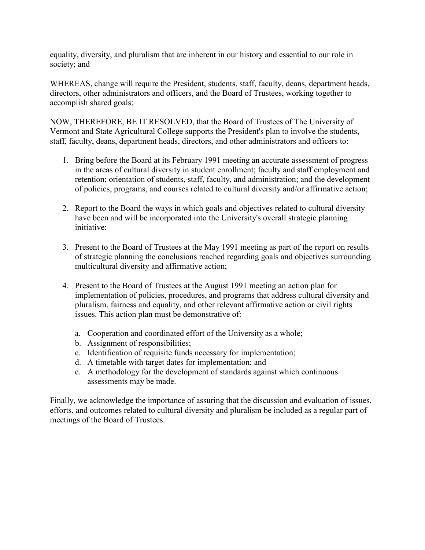equality, diversity, and pluralism that are inherent in our history and essential to our role in society; and

WHEREAS, change will require the President, students, staff, faculty, deans, department heads, directors, other administrators and officers, and the Board of Trustees, working together to accomplish shared goals;

NOW, THEREFORE, BE IT RESOLVED, that the Board of Trustees of The University of Vermont and State Agricultural College supports the President's plan to involve the students, staff, faculty, deans, department heads, directors, and other administrators and officers to:

- 1. Bring before the Board at its February 1991 meeting an accurate assessment of progress in the areas of cultural diversity in student enrollment; faculty and staff employment and retention; orientation of students, staff, faculty, and administration; and the development of policies, programs, and courses related to cultural diversity and/or affirmative action;
- 2. Report to the Board the ways in which goals and objectives related to cultural diversity have been and will be incorporated into the University's overall strategic planning initiative;
- 3. Present to the Board of Trustees at the May 1991 meeting as part of the report on results of strategic planning the conclusions reached regarding goals and objectives surrounding multicultural diversity and affirmative action;
- 4. Present to the Board of Trustees at the August 1991 meeting an action plan for implementation of policies, procedures, and programs that address cultural diversity and pluralism, fairness and equality, and other relevant affirmative action or civil rights issues. This action plan must be demonstrative of:
	- a. Cooperation and coordinated effort of the University as a whole;
	- b. Assignment of responsibilities;
	- c. Identification of requisite funds necessary for implementation;
	- d. A timetable with target dates for implementation; and
	- e. A methodology for the development of standards against which continuous assessments may be made.

Finally, we acknowledge the importance of assuring that the discussion and evaluation of issues, efforts, and outcomes related to cultural diversity and pluralism be included as a regular part of meetings of the Board of Trustees.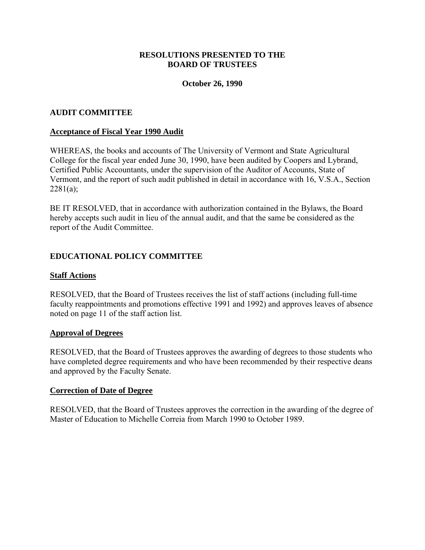#### **RESOLUTIONS PRESENTED TO THE BOARD OF TRUSTEES**

#### **October 26, 1990**

#### <span id="page-5-0"></span>**AUDIT COMMITTEE**

#### **Acceptance of Fiscal Year 1990 Audit**

WHEREAS, the books and accounts of The University of Vermont and State Agricultural College for the fiscal year ended June 30, 1990, have been audited by Coopers and Lybrand, Certified Public Accountants, under the supervision of the Auditor of Accounts, State of Vermont, and the report of such audit published in detail in accordance with 16, V.S.A., Section  $2281(a)$ ;

BE IT RESOLVED, that in accordance with authorization contained in the Bylaws, the Board hereby accepts such audit in lieu of the annual audit, and that the same be considered as the report of the Audit Committee.

#### **EDUCATIONAL POLICY COMMITTEE**

#### **Staff Actions**

RESOLVED, that the Board of Trustees receives the list of staff actions (including full-time faculty reappointments and promotions effective 1991 and 1992) and approves leaves of absence noted on page 11 of the staff action list.

#### **Approval of Degrees**

RESOLVED, that the Board of Trustees approves the awarding of degrees to those students who have completed degree requirements and who have been recommended by their respective deans and approved by the Faculty Senate.

#### **Correction of Date of Degree**

RESOLVED, that the Board of Trustees approves the correction in the awarding of the degree of Master of Education to Michelle Correia from March 1990 to October 1989.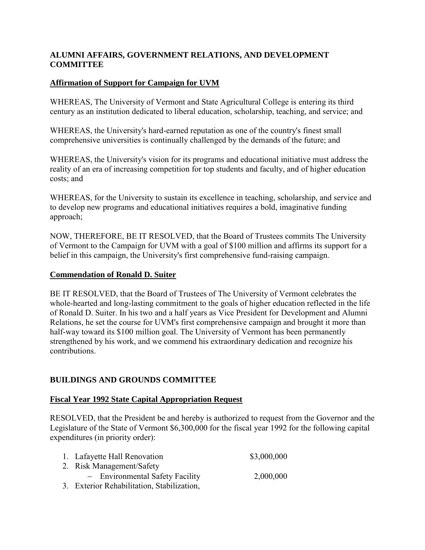## <span id="page-6-0"></span>**ALUMNI AFFAIRS, GOVERNMENT RELATIONS, AND DEVELOPMENT COMMITTEE**

# **Affirmation of Support for Campaign for UVM**

WHEREAS, The University of Vermont and State Agricultural College is entering its third century as an institution dedicated to liberal education, scholarship, teaching, and service; and

WHEREAS, the University's hard-earned reputation as one of the country's finest small comprehensive universities is continually challenged by the demands of the future; and

WHEREAS, the University's vision for its programs and educational initiative must address the reality of an era of increasing competition for top students and faculty, and of higher education costs; and

WHEREAS, for the University to sustain its excellence in teaching, scholarship, and service and to develop new programs and educational initiatives requires a bold, imaginative funding approach;

NOW, THEREFORE, BE IT RESOLVED, that the Board of Trustees commits The University of Vermont to the Campaign for UVM with a goal of \$100 million and affirms its support for a belief in this campaign, the University's first comprehensive fund-raising campaign.

## **Commendation of Ronald D. Suiter**

BE IT RESOLVED, that the Board of Trustees of The University of Vermont celebrates the whole-hearted and long-lasting commitment to the goals of higher education reflected in the life of Ronald D. Suiter. In his two and a half years as Vice President for Development and Alumni Relations, he set the course for UVM's first comprehensive campaign and brought it more than half-way toward its \$100 million goal. The University of Vermont has been permanently strengthened by his work, and we commend his extraordinary dedication and recognize his contributions.

## **BUILDINGS AND GROUNDS COMMITTEE**

## **Fiscal Year 1992 State Capital Appropriation Request**

RESOLVED, that the President be and hereby is authorized to request from the Governor and the Legislature of the State of Vermont \$6,300,000 for the fiscal year 1992 for the following capital expenditures (in priority order):

| 1. Lafayette Hall Renovation               | \$3,000,000 |
|--------------------------------------------|-------------|
| 2. Risk Management/Safety                  |             |
| - Environmental Safety Facility            | 2,000,000   |
| 3. Exterior Rehabilitation, Stabilization, |             |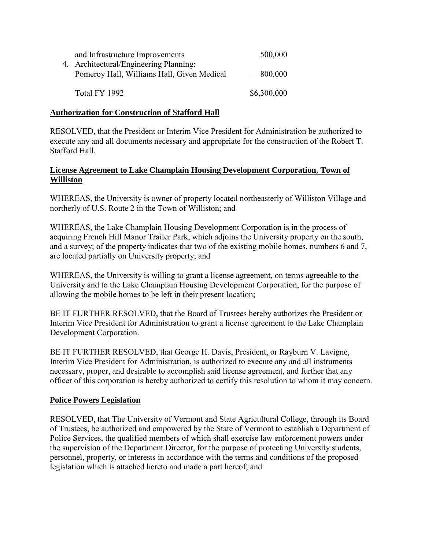<span id="page-7-0"></span>

| and Infrastructure Improvements<br>4. Architectural/Engineering Planning: | 500,000     |
|---------------------------------------------------------------------------|-------------|
| Pomeroy Hall, Williams Hall, Given Medical                                | 800,000     |
| Total FY 1992                                                             | \$6,300,000 |

#### **Authorization for Construction of Stafford Hall**

RESOLVED, that the President or Interim Vice President for Administration be authorized to execute any and all documents necessary and appropriate for the construction of the Robert T. Stafford Hall.

### **License Agreement to Lake Champlain Housing Development Corporation, Town of Williston**

WHEREAS, the University is owner of property located northeasterly of Williston Village and northerly of U.S. Route 2 in the Town of Williston; and

WHEREAS, the Lake Champlain Housing Development Corporation is in the process of acquiring French Hill Manor Trailer Park, which adjoins the University property on the south, and a survey; of the property indicates that two of the existing mobile homes, numbers 6 and 7, are located partially on University property; and

WHEREAS, the University is willing to grant a license agreement, on terms agreeable to the University and to the Lake Champlain Housing Development Corporation, for the purpose of allowing the mobile homes to be left in their present location;

BE IT FURTHER RESOLVED, that the Board of Trustees hereby authorizes the President or Interim Vice President for Administration to grant a license agreement to the Lake Champlain Development Corporation.

BE IT FURTHER RESOLVED, that George H. Davis, President, or Rayburn V. Lavigne, Interim Vice President for Administration, is authorized to execute any and all instruments necessary, proper, and desirable to accomplish said license agreement, and further that any officer of this corporation is hereby authorized to certify this resolution to whom it may concern.

## **Police Powers Legislation**

RESOLVED, that The University of Vermont and State Agricultural College, through its Board of Trustees, be authorized and empowered by the State of Vermont to establish a Department of Police Services, the qualified members of which shall exercise law enforcement powers under the supervision of the Department Director, for the purpose of protecting University students, personnel, property, or interests in accordance with the terms and conditions of the proposed legislation which is attached hereto and made a part hereof; and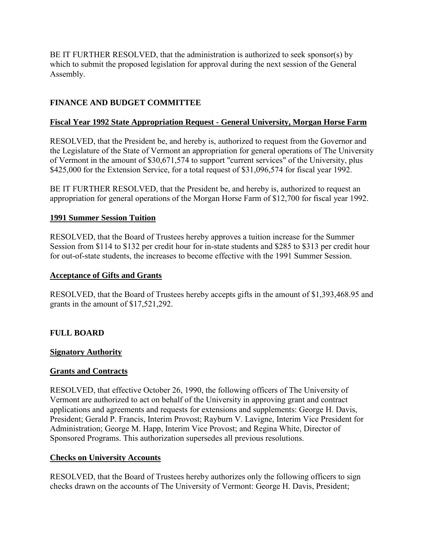<span id="page-8-0"></span>BE IT FURTHER RESOLVED, that the administration is authorized to seek sponsor(s) by which to submit the proposed legislation for approval during the next session of the General Assembly.

# **FINANCE AND BUDGET COMMITTEE**

# **Fiscal Year 1992 State Appropriation Request - General University, Morgan Horse Farm**

RESOLVED, that the President be, and hereby is, authorized to request from the Governor and the Legislature of the State of Vermont an appropriation for general operations of The University of Vermont in the amount of \$30,671,574 to support "current services" of the University, plus \$425,000 for the Extension Service, for a total request of \$31,096,574 for fiscal year 1992.

BE IT FURTHER RESOLVED, that the President be, and hereby is, authorized to request an appropriation for general operations of the Morgan Horse Farm of \$12,700 for fiscal year 1992.

## **1991 Summer Session Tuition**

RESOLVED, that the Board of Trustees hereby approves a tuition increase for the Summer Session from \$114 to \$132 per credit hour for in-state students and \$285 to \$313 per credit hour for out-of-state students, the increases to become effective with the 1991 Summer Session.

## **Acceptance of Gifts and Grants**

RESOLVED, that the Board of Trustees hereby accepts gifts in the amount of \$1,393,468.95 and grants in the amount of \$17,521,292.

## **FULL BOARD**

## **Signatory Authority**

## **Grants and Contracts**

RESOLVED, that effective October 26, 1990, the following officers of The University of Vermont are authorized to act on behalf of the University in approving grant and contract applications and agreements and requests for extensions and supplements: George H. Davis, President; Gerald P. Francis, Interim Provost; Rayburn V. Lavigne, Interim Vice President for Administration; George M. Happ, Interim Vice Provost; and Regina White, Director of Sponsored Programs. This authorization supersedes all previous resolutions.

## **Checks on University Accounts**

RESOLVED, that the Board of Trustees hereby authorizes only the following officers to sign checks drawn on the accounts of The University of Vermont: George H. Davis, President;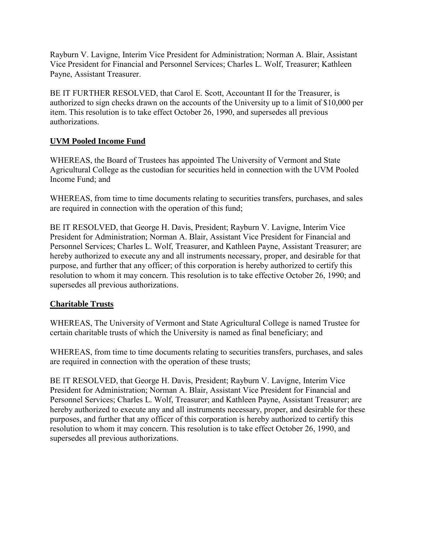<span id="page-9-0"></span>Rayburn V. Lavigne, Interim Vice President for Administration; Norman A. Blair, Assistant Vice President for Financial and Personnel Services; Charles L. Wolf, Treasurer; Kathleen Payne, Assistant Treasurer.

BE IT FURTHER RESOLVED, that Carol E. Scott, Accountant II for the Treasurer, is authorized to sign checks drawn on the accounts of the University up to a limit of \$10,000 per item. This resolution is to take effect October 26, 1990, and supersedes all previous authorizations.

# **UVM Pooled Income Fund**

WHEREAS, the Board of Trustees has appointed The University of Vermont and State Agricultural College as the custodian for securities held in connection with the UVM Pooled Income Fund; and

WHEREAS, from time to time documents relating to securities transfers, purchases, and sales are required in connection with the operation of this fund;

BE IT RESOLVED, that George H. Davis, President; Rayburn V. Lavigne, Interim Vice President for Administration; Norman A. Blair, Assistant Vice President for Financial and Personnel Services; Charles L. Wolf, Treasurer, and Kathleen Payne, Assistant Treasurer; are hereby authorized to execute any and all instruments necessary, proper, and desirable for that purpose, and further that any officer; of this corporation is hereby authorized to certify this resolution to whom it may concern. This resolution is to take effective October 26, 1990; and supersedes all previous authorizations.

## **Charitable Trusts**

WHEREAS, The University of Vermont and State Agricultural College is named Trustee for certain charitable trusts of which the University is named as final beneficiary; and

WHEREAS, from time to time documents relating to securities transfers, purchases, and sales are required in connection with the operation of these trusts;

BE IT RESOLVED, that George H. Davis, President; Rayburn V. Lavigne, Interim Vice President for Administration; Norman A. Blair, Assistant Vice President for Financial and Personnel Services; Charles L. Wolf, Treasurer; and Kathleen Payne, Assistant Treasurer; are hereby authorized to execute any and all instruments necessary, proper, and desirable for these purposes, and further that any officer of this corporation is hereby authorized to certify this resolution to whom it may concern. This resolution is to take effect October 26, 1990, and supersedes all previous authorizations.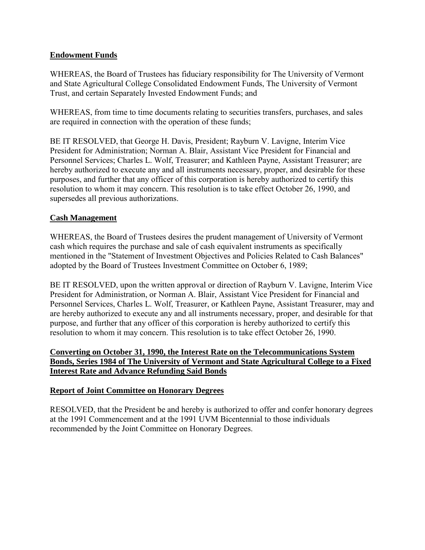## <span id="page-10-0"></span>**Endowment Funds**

WHEREAS, the Board of Trustees has fiduciary responsibility for The University of Vermont and State Agricultural College Consolidated Endowment Funds, The University of Vermont Trust, and certain Separately Invested Endowment Funds; and

WHEREAS, from time to time documents relating to securities transfers, purchases, and sales are required in connection with the operation of these funds;

BE IT RESOLVED, that George H. Davis, President; Rayburn V. Lavigne, Interim Vice President for Administration; Norman A. Blair, Assistant Vice President for Financial and Personnel Services; Charles L. Wolf, Treasurer; and Kathleen Payne, Assistant Treasurer; are hereby authorized to execute any and all instruments necessary, proper, and desirable for these purposes, and further that any officer of this corporation is hereby authorized to certify this resolution to whom it may concern. This resolution is to take effect October 26, 1990, and supersedes all previous authorizations.

#### **Cash Management**

WHEREAS, the Board of Trustees desires the prudent management of University of Vermont cash which requires the purchase and sale of cash equivalent instruments as specifically mentioned in the "Statement of Investment Objectives and Policies Related to Cash Balances" adopted by the Board of Trustees Investment Committee on October 6, 1989;

BE IT RESOLVED, upon the written approval or direction of Rayburn V. Lavigne, Interim Vice President for Administration, or Norman A. Blair, Assistant Vice President for Financial and Personnel Services, Charles L. Wolf, Treasurer, or Kathleen Payne, Assistant Treasurer, may and are hereby authorized to execute any and all instruments necessary, proper, and desirable for that purpose, and further that any officer of this corporation is hereby authorized to certify this resolution to whom it may concern. This resolution is to take effect October 26, 1990.

### **Converting on October 31, 1990, the Interest Rate on the Telecommunications System Bonds, Series 1984 of The University of Vermont and State Agricultural College to a Fixed Interest Rate and Advance Refunding Said Bonds**

## **Report of Joint Committee on Honorary Degrees**

RESOLVED, that the President be and hereby is authorized to offer and confer honorary degrees at the 1991 Commencement and at the 1991 UVM Bicentennial to those individuals recommended by the Joint Committee on Honorary Degrees.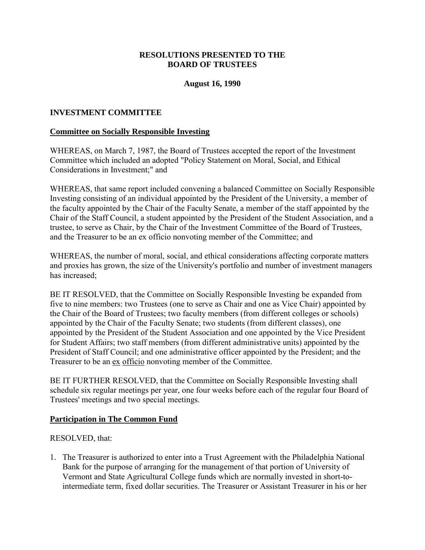### **RESOLUTIONS PRESENTED TO THE BOARD OF TRUSTEES**

#### **August 16, 1990**

#### <span id="page-11-0"></span>**INVESTMENT COMMITTEE**

#### **Committee on Socially Responsible Investing**

WHEREAS, on March 7, 1987, the Board of Trustees accepted the report of the Investment Committee which included an adopted "Policy Statement on Moral, Social, and Ethical Considerations in Investment;" and

WHEREAS, that same report included convening a balanced Committee on Socially Responsible Investing consisting of an individual appointed by the President of the University, a member of the faculty appointed by the Chair of the Faculty Senate, a member of the staff appointed by the Chair of the Staff Council, a student appointed by the President of the Student Association, and a trustee, to serve as Chair, by the Chair of the Investment Committee of the Board of Trustees, and the Treasurer to be an ex officio nonvoting member of the Committee; and

WHEREAS, the number of moral, social, and ethical considerations affecting corporate matters and proxies has grown, the size of the University's portfolio and number of investment managers has increased;

BE IT RESOLVED, that the Committee on Socially Responsible Investing be expanded from five to nine members: two Trustees (one to serve as Chair and one as Vice Chair) appointed by the Chair of the Board of Trustees; two faculty members (from different colleges or schools) appointed by the Chair of the Faculty Senate; two students (from different classes), one appointed by the President of the Student Association and one appointed by the Vice President for Student Affairs; two staff members (from different administrative units) appointed by the President of Staff Council; and one administrative officer appointed by the President; and the Treasurer to be an ex officio nonvoting member of the Committee.

BE IT FURTHER RESOLVED, that the Committee on Socially Responsible Investing shall schedule six regular meetings per year, one four weeks before each of the regular four Board of Trustees' meetings and two special meetings.

#### **Participation in The Common Fund**

RESOLVED, that:

1. The Treasurer is authorized to enter into a Trust Agreement with the Philadelphia National Bank for the purpose of arranging for the management of that portion of University of Vermont and State Agricultural College funds which are normally invested in short-tointermediate term, fixed dollar securities. The Treasurer or Assistant Treasurer in his or her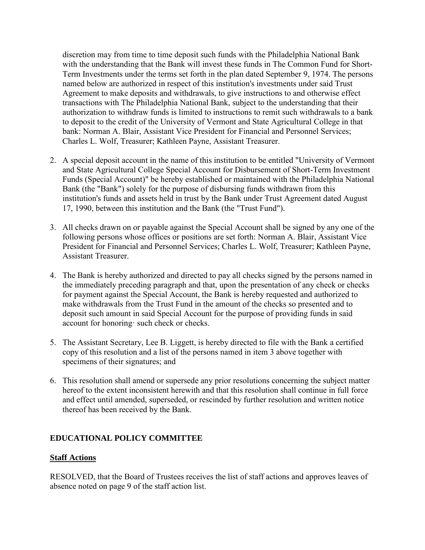<span id="page-12-0"></span>discretion may from time to time deposit such funds with the Philadelphia National Bank with the understanding that the Bank will invest these funds in The Common Fund for Short-Term Investments under the terms set forth in the plan dated September 9, 1974. The persons named below are authorized in respect of this institution's investments under said Trust Agreement to make deposits and withdrawals, to give instructions to and otherwise effect transactions with The Philadelphia National Bank, subject to the understanding that their authorization to withdraw funds is limited to instructions to remit such withdrawals to a bank to deposit to the credit of the University of Vermont and State Agricultural College in that bank: Norman A. Blair, Assistant Vice President for Financial and Personnel Services; Charles L. Wolf, Treasurer; Kathleen Payne, Assistant Treasurer.

- 2. A special deposit account in the name of this institution to be entitled "University of Vermont and State Agricultural College Special Account for Disbursement of Short-Term Investment Funds (Special Account)" be hereby established or maintained with the Philadelphia National Bank (the "Bank") solely for the purpose of disbursing funds withdrawn from this institution's funds and assets held in trust by the Bank under Trust Agreement dated August 17, 1990, between this institution and the Bank (the "Trust Fund").
- 3. All checks drawn on or payable against the Special Account shall be signed by any one of the following persons whose offices or positions are set forth: Norman A. Blair, Assistant Vice President for Financial and Personnel Services; Charles L. Wolf, Treasurer; Kathleen Payne, Assistant Treasurer.
- 4. The Bank is hereby authorized and directed to pay all checks signed by the persons named in the immediately preceding paragraph and that, upon the presentation of any check or checks for payment against the Special Account, the Bank is hereby requested and authorized to make withdrawals from the Trust Fund in the amount of the checks so presented and to deposit such amount in said Special Account for the purpose of providing funds in said account for honoring· such check or checks.
- 5. The Assistant Secretary, Lee B. Liggett, is hereby directed to file with the Bank a certified copy of this resolution and a list of the persons named in item 3 above together with specimens of their signatures; and
- 6. This resolution shall amend or supersede any prior resolutions concerning the subject matter hereof to the extent inconsistent herewith and that this resolution shall continue in full force and effect until amended, superseded, or rescinded by further resolution and written notice thereof has been received by the Bank.

## **EDUCATIONAL POLICY COMMITTEE**

## **Staff Actions**

RESOLVED, that the Board of Trustees receives the list of staff actions and approves leaves of absence noted on page 9 of the staff action list.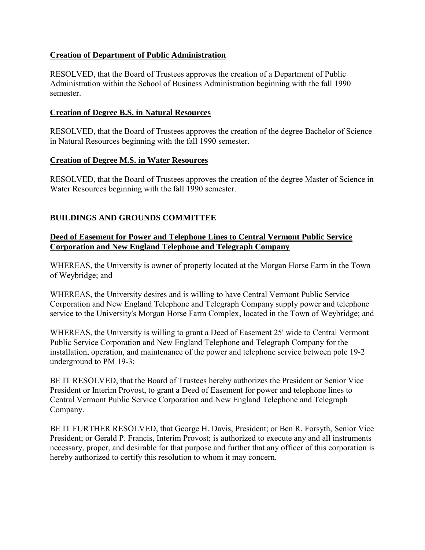## <span id="page-13-0"></span>**Creation of Department of Public Administration**

RESOLVED, that the Board of Trustees approves the creation of a Department of Public Administration within the School of Business Administration beginning with the fall 1990 semester.

### **Creation of Degree B.S. in Natural Resources**

RESOLVED, that the Board of Trustees approves the creation of the degree Bachelor of Science in Natural Resources beginning with the fall 1990 semester.

#### **Creation of Degree M.S. in Water Resources**

RESOLVED, that the Board of Trustees approves the creation of the degree Master of Science in Water Resources beginning with the fall 1990 semester.

# **BUILDINGS AND GROUNDS COMMITTEE**

## **Deed of Easement for Power and Telephone Lines to Central Vermont Public Service Corporation and New England Telephone and Telegraph Company**

WHEREAS, the University is owner of property located at the Morgan Horse Farm in the Town of Weybridge; and

WHEREAS, the University desires and is willing to have Central Vermont Public Service Corporation and New England Telephone and Telegraph Company supply power and telephone service to the University's Morgan Horse Farm Complex, located in the Town of Weybridge; and

WHEREAS, the University is willing to grant a Deed of Easement 25' wide to Central Vermont Public Service Corporation and New England Telephone and Telegraph Company for the installation, operation, and maintenance of the power and telephone service between pole 19-2 underground to PM 19-3;

BE IT RESOLVED, that the Board of Trustees hereby authorizes the President or Senior Vice President or Interim Provost, to grant a Deed of Easement for power and telephone lines to Central Vermont Public Service Corporation and New England Telephone and Telegraph Company.

BE IT FURTHER RESOLVED, that George H. Davis, President; or Ben R. Forsyth, Senior Vice President; or Gerald P. Francis, Interim Provost; is authorized to execute any and all instruments necessary, proper, and desirable for that purpose and further that any officer of this corporation is hereby authorized to certify this resolution to whom it may concern.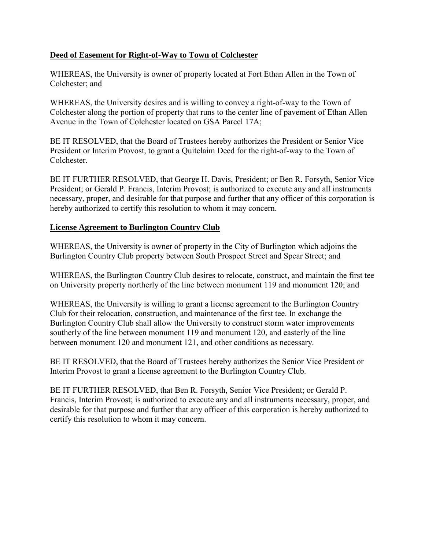## <span id="page-14-0"></span>**Deed of Easement for Right-of-Way to Town of Colchester**

WHEREAS, the University is owner of property located at Fort Ethan Allen in the Town of Colchester; and

WHEREAS, the University desires and is willing to convey a right-of-way to the Town of Colchester along the portion of property that runs to the center line of pavement of Ethan Allen Avenue in the Town of Colchester located on GSA Parcel 17A;

BE IT RESOLVED, that the Board of Trustees hereby authorizes the President or Senior Vice President or Interim Provost, to grant a Quitclaim Deed for the right-of-way to the Town of **Colchester** 

BE IT FURTHER RESOLVED, that George H. Davis, President; or Ben R. Forsyth, Senior Vice President; or Gerald P. Francis, Interim Provost; is authorized to execute any and all instruments necessary, proper, and desirable for that purpose and further that any officer of this corporation is hereby authorized to certify this resolution to whom it may concern.

#### **License Agreement to Burlington Country Club**

WHEREAS, the University is owner of property in the City of Burlington which adjoins the Burlington Country Club property between South Prospect Street and Spear Street; and

WHEREAS, the Burlington Country Club desires to relocate, construct, and maintain the first tee on University property northerly of the line between monument 119 and monument 120; and

WHEREAS, the University is willing to grant a license agreement to the Burlington Country Club for their relocation, construction, and maintenance of the first tee. In exchange the Burlington Country Club shall allow the University to construct storm water improvements southerly of the line between monument 119 and monument 120, and easterly of the line between monument 120 and monument 121, and other conditions as necessary.

BE IT RESOLVED, that the Board of Trustees hereby authorizes the Senior Vice President or Interim Provost to grant a license agreement to the Burlington Country Club.

BE IT FURTHER RESOLVED, that Ben R. Forsyth, Senior Vice President; or Gerald P. Francis, Interim Provost; is authorized to execute any and all instruments necessary, proper, and desirable for that purpose and further that any officer of this corporation is hereby authorized to certify this resolution to whom it may concern.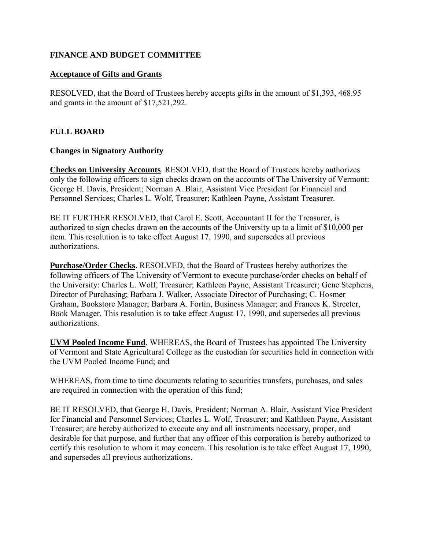## <span id="page-15-0"></span>**FINANCE AND BUDGET COMMITTEE**

### **Acceptance of Gifts and Grants**

RESOLVED, that the Board of Trustees hereby accepts gifts in the amount of \$1,393, 468.95 and grants in the amount of \$17,521,292.

## **FULL BOARD**

#### **Changes in Signatory Authority**

**Checks on University Accounts**. RESOLVED, that the Board of Trustees hereby authorizes only the following officers to sign checks drawn on the accounts of The University of Vermont: George H. Davis, President; Norman A. Blair, Assistant Vice President for Financial and Personnel Services; Charles L. Wolf, Treasurer; Kathleen Payne, Assistant Treasurer.

BE IT FURTHER RESOLVED, that Carol E. Scott, Accountant II for the Treasurer, is authorized to sign checks drawn on the accounts of the University up to a limit of \$10,000 per item. This resolution is to take effect August 17, 1990, and supersedes all previous authorizations.

**Purchase/Order Checks**. RESOLVED, that the Board of Trustees hereby authorizes the following officers of The University of Vermont to execute purchase/order checks on behalf of the University: Charles L. Wolf, Treasurer; Kathleen Payne, Assistant Treasurer; Gene Stephens, Director of Purchasing; Barbara J. Walker, Associate Director of Purchasing; C. Hosmer Graham, Bookstore Manager; Barbara A. Fortin, Business Manager; and Frances K. Streeter, Book Manager. This resolution is to take effect August 17, 1990, and supersedes all previous authorizations.

**UVM Pooled Income Fund**. WHEREAS, the Board of Trustees has appointed The University of Vermont and State Agricultural College as the custodian for securities held in connection with the UVM Pooled Income Fund; and

WHEREAS, from time to time documents relating to securities transfers, purchases, and sales are required in connection with the operation of this fund;

BE IT RESOLVED, that George H. Davis, President; Norman A. Blair, Assistant Vice President for Financial and Personnel Services; Charles L. Wolf, Treasurer; and Kathleen Payne, Assistant Treasurer; are hereby authorized to execute any and all instruments necessary, proper, and desirable for that purpose, and further that any officer of this corporation is hereby authorized to certify this resolution to whom it may concern. This resolution is to take effect August 17, 1990, and supersedes all previous authorizations.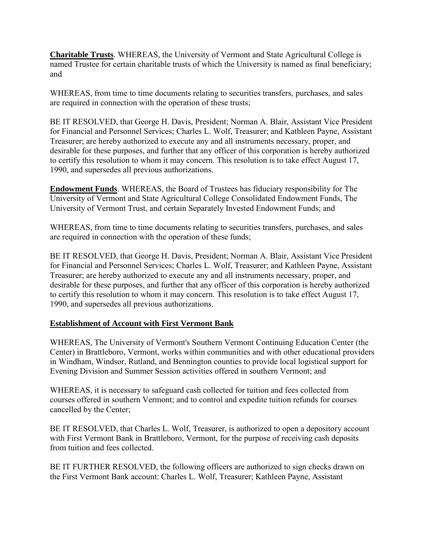<span id="page-16-0"></span>**Charitable Trusts**. WHEREAS, the University of Vermont and State Agricultural College is named Trustee for certain charitable trusts of which the University is named as final beneficiary; and

WHEREAS, from time to time documents relating to securities transfers, purchases, and sales are required in connection with the operation of these trusts;

BE IT RESOLVED, that George H. Davis, President; Norman A. Blair, Assistant Vice President for Financial and Personnel Services; Charles L. Wolf, Treasurer; and Kathleen Payne, Assistant Treasurer; are hereby authorized to execute any and all instruments necessary, proper, and desirable for these purposes, and further that any officer of this corporation is hereby authorized to certify this resolution to whom it may concern. This resolution is to take effect August 17, 1990, and supersedes all previous authorizations.

**Endowment Funds**. WHEREAS, the Board of Trustees has fiduciary responsibility for The University of Vermont and State Agricultural College Consolidated Endowment Funds, The University of Vermont Trust, and certain Separately Invested Endowment Funds; and

WHEREAS, from time to time documents relating to securities transfers, purchases, and sales are required in connection with the operation of these funds;

BE IT RESOLVED, that George H. Davis, President; Norman A. Blair, Assistant Vice President for Financial and Personnel Services; Charles L. Wolf, Treasurer; and Kathleen Payne, Assistant Treasurer; are hereby authorized to execute any and all instruments necessary, proper, and desirable for these purposes, and further that any officer of this corporation is hereby authorized to certify this resolution to whom it may concern. This resolution is to take effect August 17, 1990, and supersedes all previous authorizations.

## **Establishment of Account with First Vermont Bank**

WHEREAS, The University of Vermont's Southern Vermont Continuing Education Center (the Center) in Brattleboro, Vermont, works within communities and with other educational providers in Windham, Windsor, Rutland, and Bennington counties to provide local logistical support for Evening Division and Summer Session activities offered in southern Vermont; and

WHEREAS, it is necessary to safeguard cash collected for tuition and fees collected from courses offered in southern Vermont; and to control and expedite tuition refunds for courses cancelled by the Center;

BE IT RESOLVED, that Charles L. Wolf, Treasurer, is authorized to open a depository account with First Vermont Bank in Brattleboro, Vermont, for the purpose of receiving cash deposits from tuition and fees collected.

BE IT FURTHER RESOLVED, the following officers are authorized to sign checks drawn on the First Vermont Bank account: Charles L. Wolf, Treasurer; Kathleen Payne, Assistant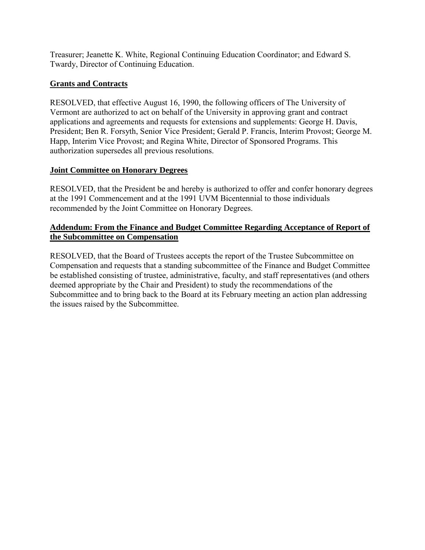<span id="page-17-0"></span>Treasurer; Jeanette K. White, Regional Continuing Education Coordinator; and Edward S. Twardy, Director of Continuing Education.

# **Grants and Contracts**

RESOLVED, that effective August 16, 1990, the following officers of The University of Vermont are authorized to act on behalf of the University in approving grant and contract applications and agreements and requests for extensions and supplements: George H. Davis, President; Ben R. Forsyth, Senior Vice President; Gerald P. Francis, Interim Provost; George M. Happ, Interim Vice Provost; and Regina White, Director of Sponsored Programs. This authorization supersedes all previous resolutions.

# **Joint Committee on Honorary Degrees**

RESOLVED, that the President be and hereby is authorized to offer and confer honorary degrees at the 1991 Commencement and at the 1991 UVM Bicentennial to those individuals recommended by the Joint Committee on Honorary Degrees.

# **Addendum: From the Finance and Budget Committee Regarding Acceptance of Report of the Subcommittee on Compensation**

RESOLVED, that the Board of Trustees accepts the report of the Trustee Subcommittee on Compensation and requests that a standing subcommittee of the Finance and Budget Committee be established consisting of trustee, administrative, faculty, and staff representatives (and others deemed appropriate by the Chair and President) to study the recommendations of the Subcommittee and to bring back to the Board at its February meeting an action plan addressing the issues raised by the Subcommittee.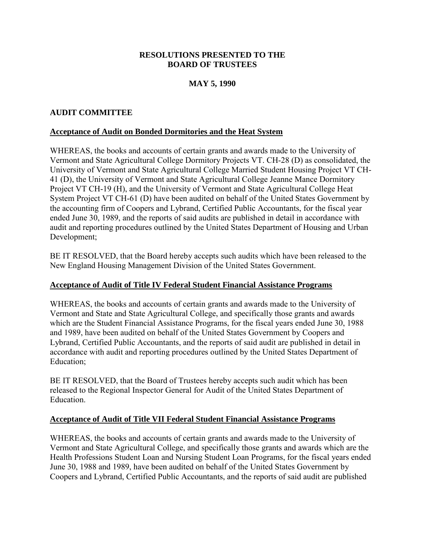## **RESOLUTIONS PRESENTED TO THE BOARD OF TRUSTEES**

# **MAY 5, 1990**

## <span id="page-18-0"></span>**AUDIT COMMITTEE**

### **Acceptance of Audit on Bonded Dormitories and the Heat System**

WHEREAS, the books and accounts of certain grants and awards made to the University of Vermont and State Agricultural College Dormitory Projects VT. CH-28 (D) as consolidated, the University of Vermont and State Agricultural College Married Student Housing Project VT CH-41 (D), the University of Vermont and State Agricultural College Jeanne Mance Dormitory Project VT CH-19 (H), and the University of Vermont and State Agricultural College Heat System Project VT CH-61 (D) have been audited on behalf of the United States Government by the accounting firm of Coopers and Lybrand, Certified Public Accountants, for the fiscal year ended June 30, 1989, and the reports of said audits are published in detail in accordance with audit and reporting procedures outlined by the United States Department of Housing and Urban Development;

BE IT RESOLVED, that the Board hereby accepts such audits which have been released to the New England Housing Management Division of the United States Government.

#### **Acceptance of Audit of Title IV Federal Student Financial Assistance Programs**

WHEREAS, the books and accounts of certain grants and awards made to the University of Vermont and State and State Agricultural College, and specifically those grants and awards which are the Student Financial Assistance Programs, for the fiscal years ended June 30, 1988 and 1989, have been audited on behalf of the United States Government by Coopers and Lybrand, Certified Public Accountants, and the reports of said audit are published in detail in accordance with audit and reporting procedures outlined by the United States Department of Education;

BE IT RESOLVED, that the Board of Trustees hereby accepts such audit which has been released to the Regional Inspector General for Audit of the United States Department of **Education** 

#### **Acceptance of Audit of Title VII Federal Student Financial Assistance Programs**

WHEREAS, the books and accounts of certain grants and awards made to the University of Vermont and State Agricultural College, and specifically those grants and awards which are the Health Professions Student Loan and Nursing Student Loan Programs, for the fiscal years ended June 30, 1988 and 1989, have been audited on behalf of the United States Government by Coopers and Lybrand, Certified Public Accountants, and the reports of said audit are published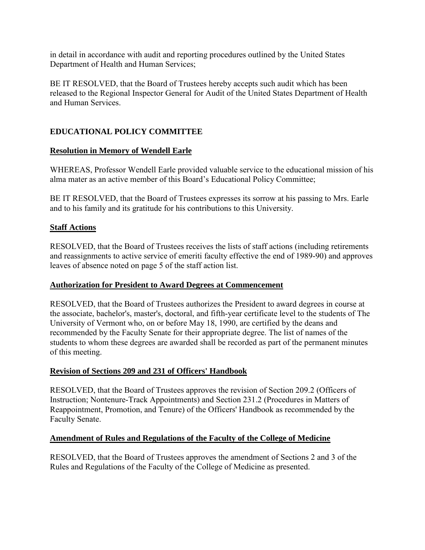<span id="page-19-0"></span>in detail in accordance with audit and reporting procedures outlined by the United States Department of Health and Human Services;

BE IT RESOLVED, that the Board of Trustees hereby accepts such audit which has been released to the Regional Inspector General for Audit of the United States Department of Health and Human Services.

# **EDUCATIONAL POLICY COMMITTEE**

#### **Resolution in Memory of Wendell Earle**

WHEREAS, Professor Wendell Earle provided valuable service to the educational mission of his alma mater as an active member of this Board's Educational Policy Committee;

BE IT RESOLVED, that the Board of Trustees expresses its sorrow at his passing to Mrs. Earle and to his family and its gratitude for his contributions to this University.

#### **Staff Actions**

RESOLVED, that the Board of Trustees receives the lists of staff actions (including retirements and reassignments to active service of emeriti faculty effective the end of 1989-90) and approves leaves of absence noted on page 5 of the staff action list.

#### **Authorization for President to Award Degrees at Commencement**

RESOLVED, that the Board of Trustees authorizes the President to award degrees in course at the associate, bachelor's, master's, doctoral, and fifth-year certificate level to the students of The University of Vermont who, on or before May 18, 1990, are certified by the deans and recommended by the Faculty Senate for their appropriate degree. The list of names of the students to whom these degrees are awarded shall be recorded as part of the permanent minutes of this meeting.

#### **Revision of Sections 209 and 231 of Officers' Handbook**

RESOLVED, that the Board of Trustees approves the revision of Section 209.2 (Officers of Instruction; Nontenure-Track Appointments) and Section 231.2 (Procedures in Matters of Reappointment, Promotion, and Tenure) of the Officers' Handbook as recommended by the Faculty Senate.

#### **Amendment of Rules and Regulations of the Faculty of the College of Medicine**

RESOLVED, that the Board of Trustees approves the amendment of Sections 2 and 3 of the Rules and Regulations of the Faculty of the College of Medicine as presented.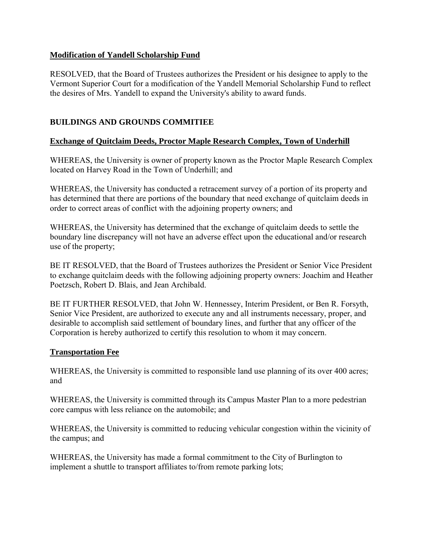## <span id="page-20-0"></span>**Modification of Yandell Scholarship Fund**

RESOLVED, that the Board of Trustees authorizes the President or his designee to apply to the Vermont Superior Court for a modification of the Yandell Memorial Scholarship Fund to reflect the desires of Mrs. Yandell to expand the University's ability to award funds.

# **BUILDINGS AND GROUNDS COMMITIEE**

# **Exchange of Quitclaim Deeds, Proctor Maple Research Complex, Town of Underhill**

WHEREAS, the University is owner of property known as the Proctor Maple Research Complex located on Harvey Road in the Town of Underhill; and

WHEREAS, the University has conducted a retracement survey of a portion of its property and has determined that there are portions of the boundary that need exchange of quitclaim deeds in order to correct areas of conflict with the adjoining property owners; and

WHEREAS, the University has determined that the exchange of quitclaim deeds to settle the boundary line discrepancy will not have an adverse effect upon the educational and/or research use of the property;

BE IT RESOLVED, that the Board of Trustees authorizes the President or Senior Vice President to exchange quitclaim deeds with the following adjoining property owners: Joachim and Heather Poetzsch, Robert D. Blais, and Jean Archibald.

BE IT FURTHER RESOLVED, that John W. Hennessey, Interim President, or Ben R. Forsyth, Senior Vice President, are authorized to execute any and all instruments necessary, proper, and desirable to accomplish said settlement of boundary lines, and further that any officer of the Corporation is hereby authorized to certify this resolution to whom it may concern.

## **Transportation Fee**

WHEREAS, the University is committed to responsible land use planning of its over 400 acres; and

WHEREAS, the University is committed through its Campus Master Plan to a more pedestrian core campus with less reliance on the automobile; and

WHEREAS, the University is committed to reducing vehicular congestion within the vicinity of the campus; and

WHEREAS, the University has made a formal commitment to the City of Burlington to implement a shuttle to transport affiliates to/from remote parking lots;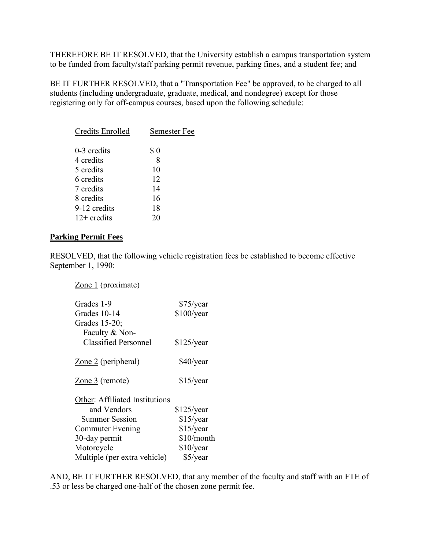<span id="page-21-0"></span>THEREFORE BE IT RESOLVED, that the University establish a campus transportation system to be funded from faculty/staff parking permit revenue, parking fines, and a student fee; and

BE IT FURTHER RESOLVED, that a "Transportation Fee" be approved, to be charged to all students (including undergraduate, graduate, medical, and nondegree) except for those registering only for off-campus courses, based upon the following schedule:

| Credits Enrolled | Semester Fee |
|------------------|--------------|
| $0-3$ credits    | S 0          |
| 4 credits        | 8            |
| 5 credits        | 10           |
| 6 credits        | 12           |
| 7 credits        | 14           |
| 8 credits        | 16           |
| 9-12 credits     | 18           |
| $12+$ credits    | 20           |
|                  |              |

#### **Parking Permit Fees**

RESOLVED, that the following vehicle registration fees be established to become effective September 1, 1990:

Zone 1 (proximate)

| Grades 1-9                        | \$75/year    |
|-----------------------------------|--------------|
| Grades 10-14                      | \$100/year   |
| Grades 15-20;                     |              |
| Faculty & Non-                    |              |
| <b>Classified Personnel</b>       | $$125$ /year |
| $\overline{Z}$ one 2 (peripheral) | \$40/year    |
| Zone 3 (remote)                   | $$15$ /year  |
| Other: Affiliated Institutions    |              |
| and Vendors                       | $$125$ /year |
| <b>Summer Session</b>             | $$15$ /year  |
| <b>Commuter Evening</b>           | $$15$ /year  |
| 30-day permit                     | \$10/month   |
| Motorcycle                        | \$10/year    |
| Multiple (per extra vehicle)      | $$5$ /year   |

AND, BE IT FURTHER RESOLVED, that any member of the faculty and staff with an FTE of .53 or less be charged one-half of the chosen zone permit fee.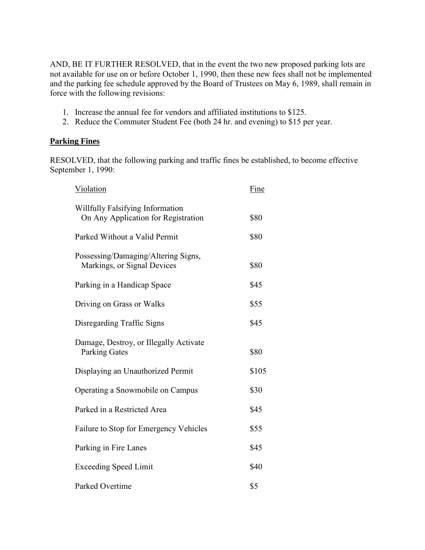<span id="page-22-0"></span>AND, BE IT FURTHER RESOLVED, that in the event the two new proposed parking lots are not available for use on or before October 1, 1990, then these new fees shall not be implemented and the parking fee schedule approved by the Board of Trustees on May 6, 1989, shall remain in force with the following revisions:

- 1. Increase the annual fee for vendors and affiliated institutions to \$125.
- 2. Reduce the Commuter Student Fee (both 24 hr. and evening) to \$15 per year.

#### **Parking Fines**

RESOLVED, that the following parking and traffic fines be established, to become effective September 1, 1990:

| Violation                                                               | Fine  |
|-------------------------------------------------------------------------|-------|
| Willfully Falsifying Information<br>On Any Application for Registration | \$80  |
| Parked Without a Valid Permit                                           | \$80  |
| Possessing/Damaging/Altering Signs,<br>Markings, or Signal Devices      | \$80  |
| Parking in a Handicap Space                                             | \$45  |
| Driving on Grass or Walks                                               | \$55  |
| Disregarding Traffic Signs                                              | \$45  |
| Damage, Destroy, or Illegally Activate<br><b>Parking Gates</b>          | \$80  |
| Displaying an Unauthorized Permit                                       | \$105 |
| Operating a Snowmobile on Campus                                        | \$30  |
| Parked in a Restricted Area                                             | \$45  |
| Failure to Stop for Emergency Vehicles                                  | \$55  |
| Parking in Fire Lanes                                                   | \$45  |
| <b>Exceeding Speed Limit</b>                                            | \$40  |
| Parked Overtime                                                         | \$5   |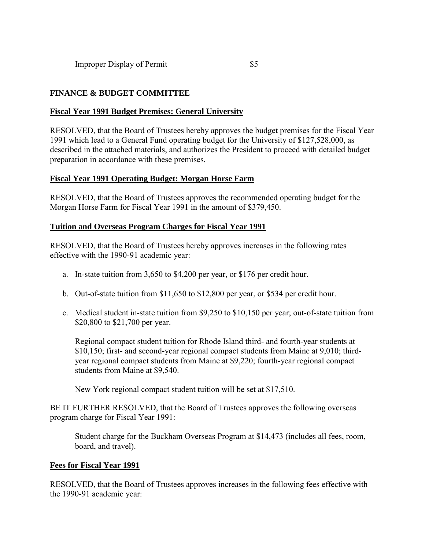# <span id="page-23-0"></span>**FINANCE & BUDGET COMMITTEE**

#### **Fiscal Year 1991 Budget Premises: General University**

RESOLVED, that the Board of Trustees hereby approves the budget premises for the Fiscal Year 1991 which lead to a General Fund operating budget for the University of \$127,528,000, as described in the attached materials, and authorizes the President to proceed with detailed budget preparation in accordance with these premises.

#### **Fiscal Year 1991 Operating Budget: Morgan Horse Farm**

RESOLVED, that the Board of Trustees approves the recommended operating budget for the Morgan Horse Farm for Fiscal Year 1991 in the amount of \$379,450.

#### **Tuition and Overseas Program Charges for Fiscal Year 1991**

RESOLVED, that the Board of Trustees hereby approves increases in the following rates effective with the 1990-91 academic year:

- a. In-state tuition from 3,650 to \$4,200 per year, or \$176 per credit hour.
- b. Out-of-state tuition from \$11,650 to \$12,800 per year, or \$534 per credit hour.
- c. Medical student in-state tuition from \$9,250 to \$10,150 per year; out-of-state tuition from \$20,800 to \$21,700 per year.

Regional compact student tuition for Rhode Island third- and fourth-year students at \$10,150; first- and second-year regional compact students from Maine at 9,010; thirdyear regional compact students from Maine at \$9,220; fourth-year regional compact students from Maine at \$9,540.

New York regional compact student tuition will be set at \$17,510.

BE IT FURTHER RESOLVED, that the Board of Trustees approves the following overseas program charge for Fiscal Year 1991:

Student charge for the Buckham Overseas Program at \$14,473 (includes all fees, room, board, and travel).

## **Fees for Fiscal Year 1991**

RESOLVED, that the Board of Trustees approves increases in the following fees effective with the 1990-91 academic year: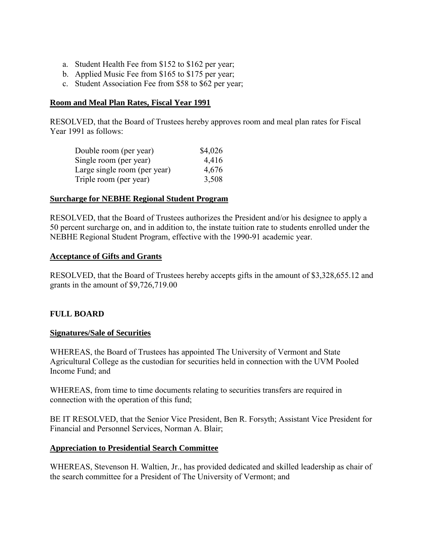- <span id="page-24-0"></span>a. Student Health Fee from \$152 to \$162 per year;
- b. Applied Music Fee from \$165 to \$175 per year;
- c. Student Association Fee from \$58 to \$62 per year;

#### **Room and Meal Plan Rates, Fiscal Year 1991**

RESOLVED, that the Board of Trustees hereby approves room and meal plan rates for Fiscal Year 1991 as follows:

| Double room (per year)       | \$4,026 |
|------------------------------|---------|
| Single room (per year)       | 4,416   |
| Large single room (per year) | 4,676   |
| Triple room (per year)       | 3,508   |

#### **Surcharge for NEBHE Regional Student Program**

RESOLVED, that the Board of Trustees authorizes the President and/or his designee to apply a 50 percent surcharge on, and in addition to, the instate tuition rate to students enrolled under the NEBHE Regional Student Program, effective with the 1990-91 academic year.

#### **Acceptance of Gifts and Grants**

RESOLVED, that the Board of Trustees hereby accepts gifts in the amount of \$3,328,655.12 and grants in the amount of \$9,726,719.00

#### **FULL BOARD**

#### **Signatures/Sale of Securities**

WHEREAS, the Board of Trustees has appointed The University of Vermont and State Agricultural College as the custodian for securities held in connection with the UVM Pooled Income Fund; and

WHEREAS, from time to time documents relating to securities transfers are required in connection with the operation of this fund;

BE IT RESOLVED, that the Senior Vice President, Ben R. Forsyth; Assistant Vice President for Financial and Personnel Services, Norman A. Blair;

#### **Appreciation to Presidential Search Committee**

WHEREAS, Stevenson H. Waltien, Jr., has provided dedicated and skilled leadership as chair of the search committee for a President of The University of Vermont; and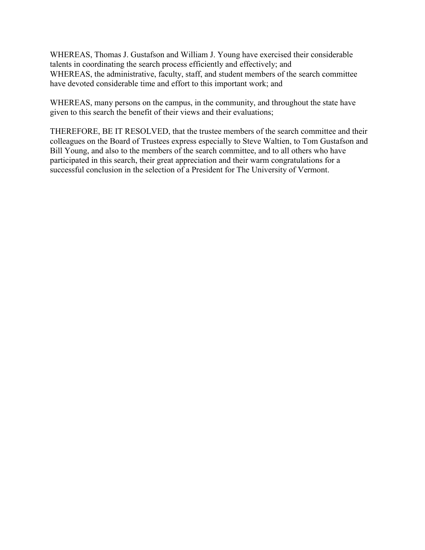WHEREAS, Thomas J. Gustafson and William J. Young have exercised their considerable talents in coordinating the search process efficiently and effectively; and WHEREAS, the administrative, faculty, staff, and student members of the search committee have devoted considerable time and effort to this important work; and

WHEREAS, many persons on the campus, in the community, and throughout the state have given to this search the benefit of their views and their evaluations;

THEREFORE, BE IT RESOLVED, that the trustee members of the search committee and their colleagues on the Board of Trustees express especially to Steve Waltien, to Tom Gustafson and Bill Young, and also to the members of the search committee, and to all others who have participated in this search, their great appreciation and their warm congratulations for a successful conclusion in the selection of a President for The University of Vermont.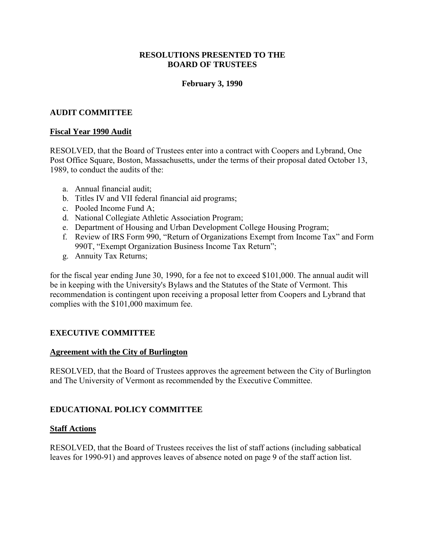#### **RESOLUTIONS PRESENTED TO THE BOARD OF TRUSTEES**

### **February 3, 1990**

#### <span id="page-26-0"></span>**AUDIT COMMITTEE**

#### **Fiscal Year 1990 Audit**

RESOLVED, that the Board of Trustees enter into a contract with Coopers and Lybrand, One Post Office Square, Boston, Massachusetts, under the terms of their proposal dated October 13, 1989, to conduct the audits of the:

- a. Annual financial audit;
- b. Titles IV and VII federal financial aid programs;
- c. Pooled Income Fund A;
- d. National Collegiate Athletic Association Program;
- e. Department of Housing and Urban Development College Housing Program;
- f. Review of IRS Form 990, "Return of Organizations Exempt from Income Tax" and Form 990T, "Exempt Organization Business Income Tax Return";
- g. Annuity Tax Returns;

for the fiscal year ending June 30, 1990, for a fee not to exceed \$101,000. The annual audit will be in keeping with the University's Bylaws and the Statutes of the State of Vermont. This recommendation is contingent upon receiving a proposal letter from Coopers and Lybrand that complies with the \$101,000 maximum fee.

#### **EXECUTIVE COMMITTEE**

#### **Agreement with the City of Burlington**

RESOLVED, that the Board of Trustees approves the agreement between the City of Burlington and The University of Vermont as recommended by the Executive Committee.

#### **EDUCATIONAL POLICY COMMITTEE**

#### **Staff Actions**

RESOLVED, that the Board of Trustees receives the list of staff actions (including sabbatical leaves for 1990-91) and approves leaves of absence noted on page 9 of the staff action list.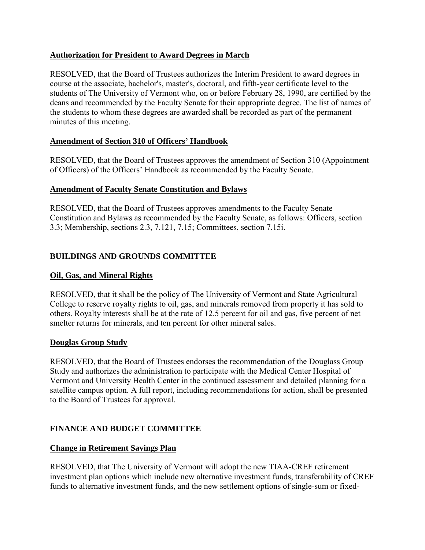# <span id="page-27-0"></span>**Authorization for President to Award Degrees in March**

RESOLVED, that the Board of Trustees authorizes the Interim President to award degrees in course at the associate, bachelor's, master's, doctoral, and fifth-year certificate level to the students of The University of Vermont who, on or before February 28, 1990, are certified by the deans and recommended by the Faculty Senate for their appropriate degree. The list of names of the students to whom these degrees are awarded shall be recorded as part of the permanent minutes of this meeting.

# **Amendment of Section 310 of Officers' Handbook**

RESOLVED, that the Board of Trustees approves the amendment of Section 310 (Appointment of Officers) of the Officers' Handbook as recommended by the Faculty Senate.

# **Amendment of Faculty Senate Constitution and Bylaws**

RESOLVED, that the Board of Trustees approves amendments to the Faculty Senate Constitution and Bylaws as recommended by the Faculty Senate, as follows: Officers, section 3.3; Membership, sections 2.3, 7.121, 7.15; Committees, section 7.15i.

# **BUILDINGS AND GROUNDS COMMITTEE**

## **Oil, Gas, and Mineral Rights**

RESOLVED, that it shall be the policy of The University of Vermont and State Agricultural College to reserve royalty rights to oil, gas, and minerals removed from property it has sold to others. Royalty interests shall be at the rate of 12.5 percent for oil and gas, five percent of net smelter returns for minerals, and ten percent for other mineral sales.

## **Douglas Group Study**

RESOLVED, that the Board of Trustees endorses the recommendation of the Douglass Group Study and authorizes the administration to participate with the Medical Center Hospital of Vermont and University Health Center in the continued assessment and detailed planning for a satellite campus option. A full report, including recommendations for action, shall be presented to the Board of Trustees for approval.

# **FINANCE AND BUDGET COMMITTEE**

## **Change in Retirement Savings Plan**

RESOLVED, that The University of Vermont will adopt the new TIAA-CREF retirement investment plan options which include new alternative investment funds, transferability of CREF funds to alternative investment funds, and the new settlement options of single-sum or fixed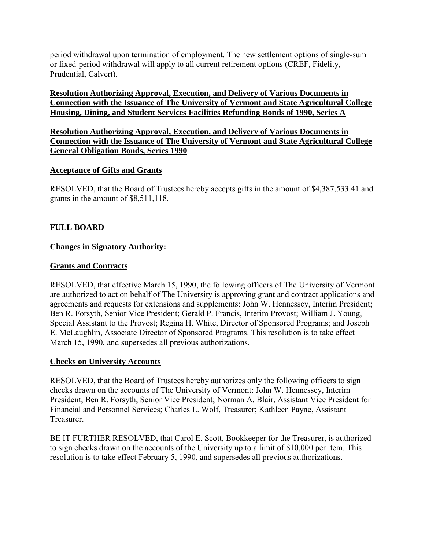<span id="page-28-0"></span>period withdrawal upon termination of employment. The new settlement options of single-sum or fixed-period withdrawal will apply to all current retirement options (CREF, Fidelity, Prudential, Calvert).

## **Resolution Authorizing Approval, Execution, and Delivery of Various Documents in Connection with the Issuance of The University of Vermont and State Agricultural College Housing, Dining, and Student Services Facilities Refunding Bonds of 1990, Series A**

**Resolution Authorizing Approval, Execution, and Delivery of Various Documents in Connection with the Issuance of The University of Vermont and State Agricultural College General Obligation Bonds, Series 1990** 

## **Acceptance of Gifts and Grants**

RESOLVED, that the Board of Trustees hereby accepts gifts in the amount of \$4,387,533.41 and grants in the amount of \$8,511,118.

## **FULL BOARD**

## **Changes in Signatory Authority:**

#### **Grants and Contracts**

RESOLVED, that effective March 15, 1990, the following officers of The University of Vermont are authorized to act on behalf of The University is approving grant and contract applications and agreements and requests for extensions and supplements: John W. Hennessey, Interim President; Ben R. Forsyth, Senior Vice President; Gerald P. Francis, Interim Provost; William J. Young, Special Assistant to the Provost; Regina H. White, Director of Sponsored Programs; and Joseph E. McLaughlin, Associate Director of Sponsored Programs. This resolution is to take effect March 15, 1990, and supersedes all previous authorizations.

#### **Checks on University Accounts**

RESOLVED, that the Board of Trustees hereby authorizes only the following officers to sign checks drawn on the accounts of The University of Vermont: John W. Hennessey, Interim President; Ben R. Forsyth, Senior Vice President; Norman A. Blair, Assistant Vice President for Financial and Personnel Services; Charles L. Wolf, Treasurer; Kathleen Payne, Assistant Treasurer.

BE IT FURTHER RESOLVED, that Carol E. Scott, Bookkeeper for the Treasurer, is authorized to sign checks drawn on the accounts of the University up to a limit of \$10,000 per item. This resolution is to take effect February 5, 1990, and supersedes all previous authorizations.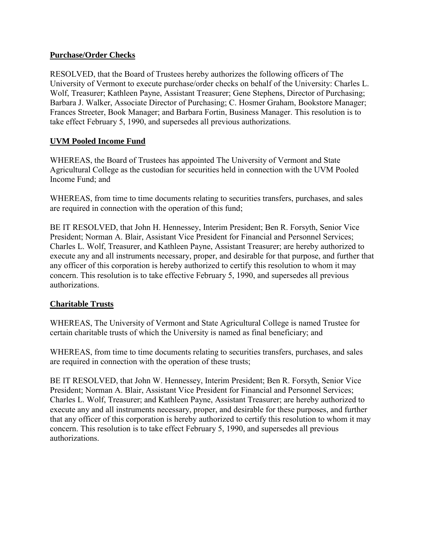## <span id="page-29-0"></span>**Purchase/Order Checks**

RESOLVED, that the Board of Trustees hereby authorizes the following officers of The University of Vermont to execute purchase/order checks on behalf of the University: Charles L. Wolf, Treasurer; Kathleen Payne, Assistant Treasurer; Gene Stephens, Director of Purchasing; Barbara J. Walker, Associate Director of Purchasing; C. Hosmer Graham, Bookstore Manager; Frances Streeter, Book Manager; and Barbara Fortin, Business Manager. This resolution is to take effect February 5, 1990, and supersedes all previous authorizations.

# **UVM Pooled Income Fund**

WHEREAS, the Board of Trustees has appointed The University of Vermont and State Agricultural College as the custodian for securities held in connection with the UVM Pooled Income Fund; and

WHEREAS, from time to time documents relating to securities transfers, purchases, and sales are required in connection with the operation of this fund;

BE IT RESOLVED, that John H. Hennessey, Interim President; Ben R. Forsyth, Senior Vice President; Norman A. Blair, Assistant Vice President for Financial and Personnel Services; Charles L. Wolf, Treasurer, and Kathleen Payne, Assistant Treasurer; are hereby authorized to execute any and all instruments necessary, proper, and desirable for that purpose, and further that any officer of this corporation is hereby authorized to certify this resolution to whom it may concern. This resolution is to take effective February 5, 1990, and supersedes all previous authorizations.

## **Charitable Trusts**

WHEREAS, The University of Vermont and State Agricultural College is named Trustee for certain charitable trusts of which the University is named as final beneficiary; and

WHEREAS, from time to time documents relating to securities transfers, purchases, and sales are required in connection with the operation of these trusts;

BE IT RESOLVED, that John W. Hennessey, Interim President; Ben R. Forsyth, Senior Vice President; Norman A. Blair, Assistant Vice President for Financial and Personnel Services; Charles L. Wolf, Treasurer; and Kathleen Payne, Assistant Treasurer; are hereby authorized to execute any and all instruments necessary, proper, and desirable for these purposes, and further that any officer of this corporation is hereby authorized to certify this resolution to whom it may concern. This resolution is to take effect February 5, 1990, and supersedes all previous authorizations.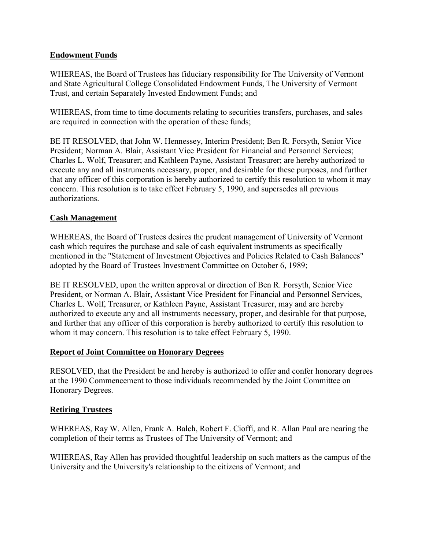## <span id="page-30-0"></span>**Endowment Funds**

WHEREAS, the Board of Trustees has fiduciary responsibility for The University of Vermont and State Agricultural College Consolidated Endowment Funds, The University of Vermont Trust, and certain Separately Invested Endowment Funds; and

WHEREAS, from time to time documents relating to securities transfers, purchases, and sales are required in connection with the operation of these funds;

BE IT RESOLVED, that John W. Hennessey, Interim President; Ben R. Forsyth, Senior Vice President; Norman A. Blair, Assistant Vice President for Financial and Personnel Services; Charles L. Wolf, Treasurer; and Kathleen Payne, Assistant Treasurer; are hereby authorized to execute any and all instruments necessary, proper, and desirable for these purposes, and further that any officer of this corporation is hereby authorized to certify this resolution to whom it may concern. This resolution is to take effect February 5, 1990, and supersedes all previous authorizations.

#### **Cash Management**

WHEREAS, the Board of Trustees desires the prudent management of University of Vermont cash which requires the purchase and sale of cash equivalent instruments as specifically mentioned in the "Statement of Investment Objectives and Policies Related to Cash Balances" adopted by the Board of Trustees Investment Committee on October 6, 1989;

BE IT RESOLVED, upon the written approval or direction of Ben R. Forsyth, Senior Vice President, or Norman A. Blair, Assistant Vice President for Financial and Personnel Services, Charles L. Wolf, Treasurer, or Kathleen Payne, Assistant Treasurer, may and are hereby authorized to execute any and all instruments necessary, proper, and desirable for that purpose, and further that any officer of this corporation is hereby authorized to certify this resolution to whom it may concern. This resolution is to take effect February 5, 1990.

#### **Report of Joint Committee on Honorary Degrees**

RESOLVED, that the President be and hereby is authorized to offer and confer honorary degrees at the 1990 Commencement to those individuals recommended by the Joint Committee on Honorary Degrees.

#### **Retiring Trustees**

WHEREAS, Ray W. Allen, Frank A. Balch, Robert F. Cioffi, and R. Allan Paul are nearing the completion of their terms as Trustees of The University of Vermont; and

WHEREAS, Ray Allen has provided thoughtful leadership on such matters as the campus of the University and the University's relationship to the citizens of Vermont; and